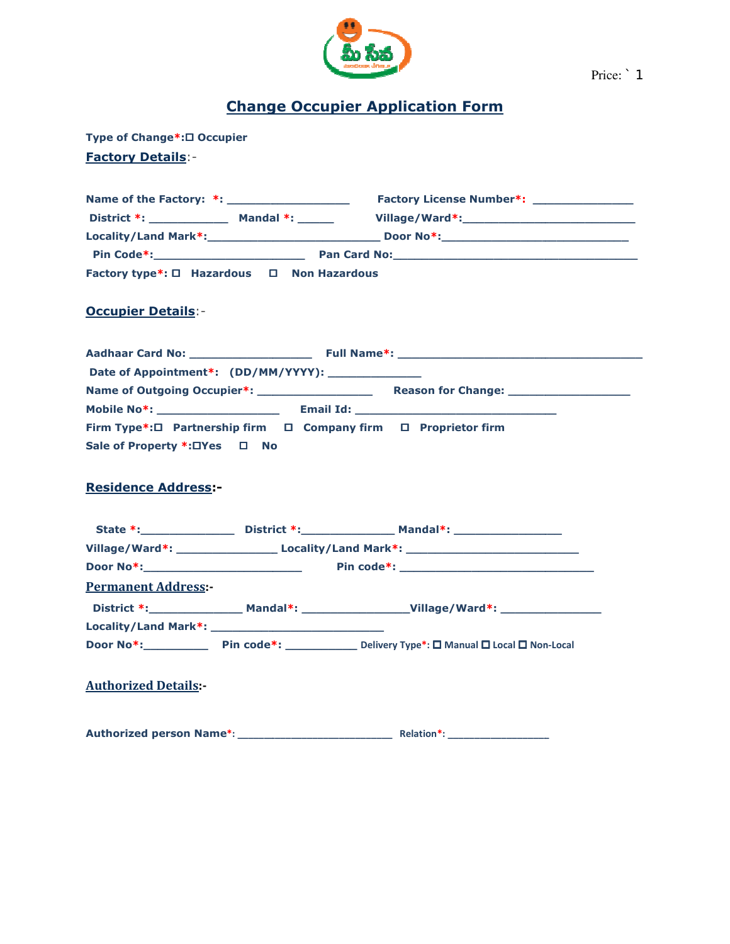

## Change Occupier Application Form

Type of Change\*:□ Occupier Factory Details:-

|                                            | Factory License Number*: _______________ |  |  |  |  |  |
|--------------------------------------------|------------------------------------------|--|--|--|--|--|
|                                            |                                          |  |  |  |  |  |
|                                            |                                          |  |  |  |  |  |
|                                            |                                          |  |  |  |  |  |
| Factory type*: □ Hazardous □ Non Hazardous |                                          |  |  |  |  |  |
| <b>Occupier Details:-</b>                  |                                          |  |  |  |  |  |
|                                            |                                          |  |  |  |  |  |

## **Occupier Details:-**

| Date of Appointment*: (DD/MM/YYYY): ______________             |  |  |
|----------------------------------------------------------------|--|--|
|                                                                |  |  |
|                                                                |  |  |
| Firm Type*:□ Partnership firm □ Company firm □ Proprietor firm |  |  |
| Sale of Property *: OYes □ No                                  |  |  |
| <b>Residence Address:-</b>                                     |  |  |
|                                                                |  |  |

### Residence Address:-

|                             |  | Village/Ward*: _________________________Locality/Land Mark*: ____________________ |
|-----------------------------|--|-----------------------------------------------------------------------------------|
|                             |  |                                                                                   |
| <b>Permanent Address:-</b>  |  |                                                                                   |
|                             |  |                                                                                   |
|                             |  |                                                                                   |
|                             |  | Door No*: Pin code*: Delivery Type*: □ Manual □ Local □ Non-Local                 |
| <b>Authorized Details:-</b> |  |                                                                                   |

Authorized person Name\*: \_\_\_\_\_\_\_\_\_\_\_\_\_\_\_\_\_\_ : \_\_\_\_\_\_\_\_\_\_\_\_\_\_\_\_\_\_\_\_\_\_\_\_\_\_\_\_\_ Relation\*: \_\_\_\_\_\_\_\_\_\_\_\_\_\_\_\_\_\_\_ :